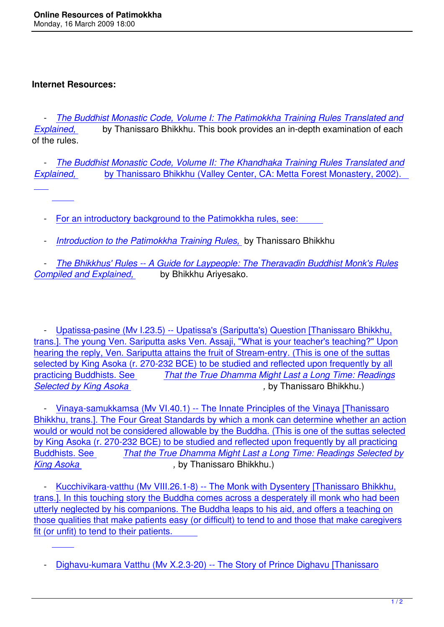## **Internet Resources:**

 $\overline{a}$ 

 $\overline{a}$ 

 $\overline{a}$ 

 - *The Buddhist Monastic Code, Volume I: The Patimokkha Training Rules Translated and Explained,* by Thanissaro Bhikkhu. This book provides an in-depth examination of each of the rules.

 - *[The Buddhist Monastic Code, Volume II: The Khandhaka Training Rules Translated and](http://www.accesstoinsight.org/lib/modern/thanissaro/bmc1/index.html) Explained,* by Thanissaro Bhikkhu (Valley Center, CA: Metta Forest Monastery, 2002).

 [- For an](http://www.accesstoinsight.org/lib/modern/thanissaro/bmc2/index.html) intro[ductory background to the Patimokkha rules, see:](http://www.accesstoinsight.org/lib/modern/thanissaro/bmc2/index.html) 

- *[Intro](http://www.accesstoinsight.org/lib/modern/thanissaro/bmc2/index.html)duction to the Patimokkha Training Rules,* by Thanissaro Bhikkhu

 - *[The Bhikkhus' Rules -- A Guide for Laypeople: The Theravadin Bud](http://www.accesstoinsight.org/lib/modern/thanissaro/bmc2/index.html)dhist Monk's Rules Compiled and Explained,* [by Bhikkhu Ariyesako](http://www.accesstoinsight.org/canon/vinaya/bhikkhu-pati-intro.html).

 - Upatissa-pasine (Mv I.23.5) -- Upatissa's (Sariputta's) Question [Thanissaro Bhikkhu, trans.]. The young Ven. Sariputta asks Ven. Assaji, "What is your teacher's teaching?" Upon hearing the reply, Ven. Sariputta attains the fruit of Stream-entry. (This is one of the suttas selec[ted by King Asoka \(r. 270-232 BCE\) to be studied and reflected upon frequently by all](http://www.accesstoinsight.org/canon/vinaya/mv1-23-5.html) practicing Buddhists. See *[That the True Dhamma Might Last a Long Time: Readings](http://www.accesstoinsight.org/canon/vinaya/mv1-23-5.html)* **Selected by King Asoka** , **by Thanissaro Bhikkhu.**)

Vinaya-samukkamsa (Mv [VI.40.1\) -- The Innate Principles of the Vinaya \[Thanissaro](http://www.accesstoinsight.org/lib/modern/thanissaro/asoka.html) [Bhikkhu, trans.\]. The Fou](http://www.accesstoinsight.org/lib/modern/thanissaro/asoka.html)r Great Standards by which a monk can determine whether an action would or would not be considered allowable by the Buddha. (This is one of the suttas selected by Ki[ng Asoka \(r. 270-232 BCE\) to be studied and reflected upon frequently by all practicin](http://www.accesstoinsight.org/canon/vinaya/mv6-40-1.html)g Buddhists. See *[That the True Dhamma Might Last a Long Time: Readings Selected by](http://www.accesstoinsight.org/canon/vinaya/mv6-40-1.html) King Asoka* 6 *King Asoka* , by Thanissaro Bhikkhu.)

Kucchivikara-vat[thu \(Mv VIII.26.1-8\) -- The Monk with Dysentery \[Thanissaro Bhikkhu,](http://www.accesstoinsight.org/lib/modern/thanissaro/asoka.html) [trans.\]. In thi](http://www.accesstoinsight.org/lib/modern/thanissaro/asoka.html)s touching story the Buddha comes across a desperately ill monk who had been utterly neglected by his companions. The Buddha leaps to his aid, and offers a teaching on those [qualities that make patients easy \(or difficult\) to tend to and those that make caregiver](http://www.accesstoinsight.org/canon/vinaya/mv8-26-1.html)s [fit \(or unfit\) to tend to their patients.](http://www.accesstoinsight.org/canon/vinaya/mv8-26-1.html) 

 [<sup>-</sup> Dighavu-kumara Vatthu \(Mv X.2.3-20\) -- The Story of Prince Dighavu \[Thanissaro](http://www.accesstoinsight.org/canon/vinaya/mv8-26-1.html)